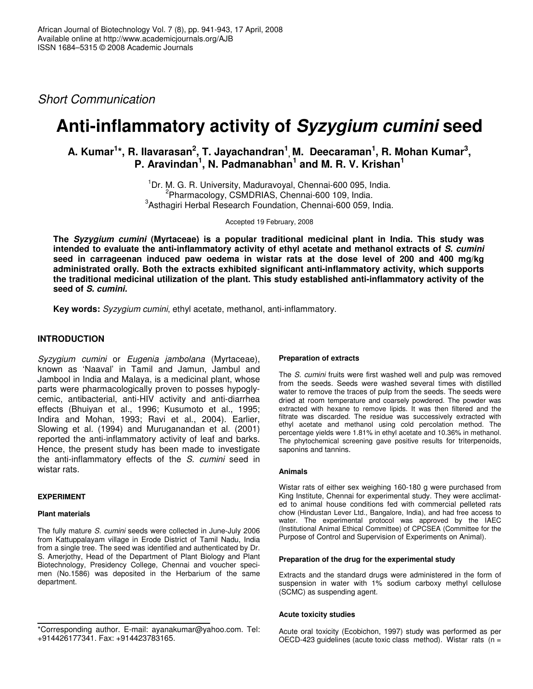*Short Communication*

# **Anti-inflammatory activity of** *Syzygium cumini* **seed**

## A. Kumar<sup>1</sup>\*, R. Ilavarasan<sup>2</sup>, T. Jayachandran<sup>1</sup>, M. Deecaraman<sup>1</sup>, R. Mohan Kumar<sup>3</sup>, **P. Aravindan 1 , N. Padmanabhan 1 and M. R. V. Krishan 1**

<sup>1</sup>Dr. M. G. R. University, Maduravoyal, Chennai-600 095, India. 2 Pharmacology, CSMDRIAS, Chennai-600 109, India. 3 Asthagiri Herbal Research Foundation, Chennai-600 059, India.

Accepted 19 February, 2008

**The** *Syzygium cumini* **(Myrtaceae) is a popular traditional medicinal plant in India. This study was intended to evaluate the anti-inflammatory activity of ethyl acetate and methanol extracts of** *S. cumini* **seed in carrageenan induced paw oedema in wistar rats at the dose level of 200 and 400 mg/kg administrated orally. Both the extracts exhibited significant anti-inflammatory activity, which supports the traditional medicinal utilization of the plant. This study established anti-inflammatory activity of the seed of** *S. cumini.*

**Key words:** *Syzygium cumini*, ethyl acetate, methanol, anti-inflammatory.

## **INTRODUCTION**

*Syzygium cumini* or *Eugenia jambolana* (Myrtaceae), known as 'Naaval' in Tamil and Jamun, Jambul and Jambool in India and Malaya, is a medicinal plant, whose parts were pharmacologically proven to posses hypoglycemic, antibacterial, anti-HIV activity and anti-diarrhea effects (Bhuiyan et al*.*, 1996; Kusumoto et al*.*, 1995; Indira and Mohan, 1993; Ravi et al., 2004). Earlier, Slowing et al*.* (1994) and Muruganandan et al. (2001) reported the anti-inflammatory activity of leaf and barks. Hence, the present study has been made to investigate the anti-inflammatory effects of the *S. cumini* seed in wistar rats.

#### **EXPERIMENT**

#### **Plant materials**

The fully mature *S. cumini* seeds were collected in June-July 2006 from Kattuppalayam village in Erode District of Tamil Nadu, India from a single tree. The seed was identified and authenticated by Dr. S. Amerjothy, Head of the Department of Plant Biology and Plant Biotechnology, Presidency College, Chennai and voucher specimen (No.1586) was deposited in the Herbarium of the same department.

#### **Preparation of extracts**

The *S. cumini* fruits were first washed well and pulp was removed from the seeds. Seeds were washed several times with distilled water to remove the traces of pulp from the seeds. The seeds were dried at room temperature and coarsely powdered. The powder was extracted with hexane to remove lipids. It was then filtered and the filtrate was discarded. The residue was successively extracted with ethyl acetate and methanol using cold percolation method. The percentage yields were 1.81% in ethyl acetate and 10.36% in methanol. The phytochemical screening gave positive results for triterpenoids, saponins and tannins.

#### **Animals**

Wistar rats of either sex weighing 160-180 g were purchased from King Institute, Chennai for experimental study. They were acclimated to animal house conditions fed with commercial pelleted rats chow (Hindustan Lever Ltd., Bangalore, India), and had free access to water. The experimental protocol was approved by the IAEC (Institutional Animal Ethical Committee) of CPCSEA (Committee for the Purpose of Control and Supervision of Experiments on Animal).

#### **Preparation of the drug for the experimental study**

Extracts and the standard drugs were administered in the form of suspension in water with 1% sodium carboxy methyl cellulose (SCMC) as suspending agent.

#### **Acute toxicity studies**

Acute oral toxicity (Ecobichon, 1997) study was performed as per OECD-423 guidelines (acute toxic class method). Wistar rats (n =

<sup>\*</sup>Corresponding author. E-mail: ayanakumar@yahoo.com. Tel: +914426177341. Fax: +914423783165.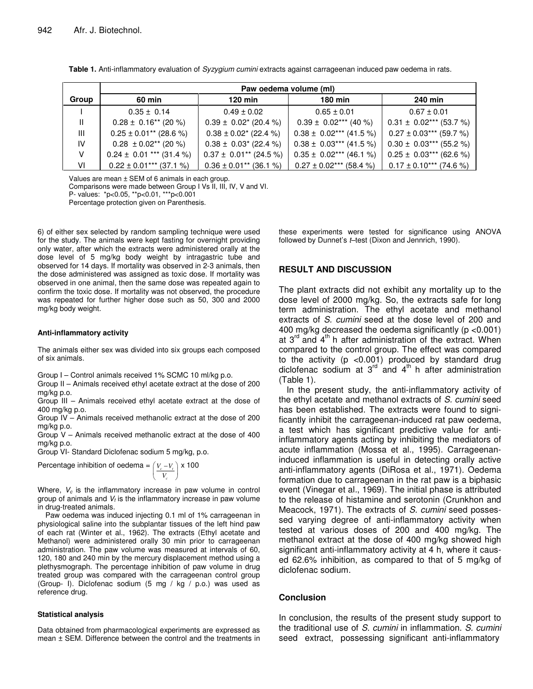|       | Paw oedema volume (ml)                 |                                        |                                                                  |                             |
|-------|----------------------------------------|----------------------------------------|------------------------------------------------------------------|-----------------------------|
| Group | 60 min                                 | $120$ min                              | 180 min                                                          | 240 min                     |
|       | $0.35 \pm 0.14$                        | $0.49 \pm 0.02$                        | $0.65 \pm 0.01$                                                  | $0.67 \pm 0.01$             |
| Ш     | $0.28 \pm 0.16^{**}$ (20 %)            | $0.39 \pm 0.02^*$ (20.4 %)             | $0.39 \pm 0.02***$ (40 %)                                        | $0.31 \pm 0.02***$ (53.7 %) |
| Ш     | $0.25 \pm 0.01$ <sup>**</sup> (28.6 %) | $0.38 \pm 0.02^*$ (22.4 %)             | $0.38 \pm 0.02***$ (41.5 %)                                      | $0.27 \pm 0.03***$ (59.7 %) |
| IV    | $0.28 \pm 0.02$ <sup>**</sup> (20 %)   | $0.38 \pm 0.03^*$ (22.4 %)             | $0.38 \pm 0.03***$ (41.5 %)                                      | $0.30 \pm 0.03***$ (55.2 %) |
| v     | $0.24 \pm 0.01$ *** (31.4 %)           | $0.37 \pm 0.01^{**}$ (24.5 %)          | $0.35 \pm 0.02***$ (46.1 %)                                      | $0.25 \pm 0.03***$ (62.6 %) |
| VI    | $0.22 \pm 0.01***$ (37.1 %)            | $0.36 \pm 0.01$ <sup>**</sup> (36.1 %) | $0.27 \pm 0.02$ *** (58.4 %) $\vert$ 0.17 $\pm$ 0.10*** (74.6 %) |                             |

**Table 1.** Anti-inflammatory evaluation of *Syzygium cumini* extracts against carrageenan induced paw oedema in rats.

Values are mean ± SEM of 6 animals in each group.

Comparisons were made between Group I Vs II, III, IV, V and VI.

P- values: \*p<0.05, \*\*p<0.01, \*\*\*p<0.001

Percentage protection given on Parenthesis.

6) of either sex selected by random sampling technique were used for the study. The animals were kept fasting for overnight providing only water, after which the extracts were administered orally at the dose level of 5 mg/kg body weight by intragastric tube and observed for 14 days. If mortality was observed in 2-3 animals, then the dose administered was assigned as toxic dose. If mortality was observed in one animal, then the same dose was repeated again to confirm the toxic dose. If mortality was not observed, the procedure was repeated for further higher dose such as 50, 300 and 2000 mg/kg body weight.

#### **Anti-inflammatory activity**

The animals either sex was divided into six groups each composed of six animals.

Group I – Control animals received 1% SCMC 10 ml/kg p.o.

Group II – Animals received ethyl acetate extract at the dose of 200 mg/kg p.o.

Group III – Animals received ethyl acetate extract at the dose of 400 mg/kg p.o.

Group IV – Animals received methanolic extract at the dose of 200 mg/kg p.o.

Group V – Animals received methanolic extract at the dose of 400 mg/kg p.o.

Group VI- Standard Diclofenac sodium 5 mg/kg, p.o.

Percentage inhibition of oedema = 
$$
\left(\frac{V_c - V_t}{V_c}\right) \times 100
$$

Where, *V<sup>c</sup>* is the inflammatory increase in paw volume in control group of animals and *V<sup>t</sup>* is the inflammatory increase in paw volume in drug-treated animals.

Paw oedema was induced injecting 0.1 ml of 1% carrageenan in physiological saline into the subplantar tissues of the left hind paw of each rat (Winter et al., 1962). The extracts (Ethyl acetate and Methanol) were administered orally 30 min prior to carrageenan administration. The paw volume was measured at intervals of 60, 120, 180 and 240 min by the mercury displacement method using a plethysmograph. The percentage inhibition of paw volume in drug treated group was compared with the carrageenan control group (Group- I). Diclofenac sodium (5 mg / kg / p.o.) was used as reference drug.

#### **Statistical analysis**

Data obtained from pharmacological experiments are expressed as mean ± SEM. Difference between the control and the treatments in

these experiments were tested for significance using ANOVA followed by Dunnet's *t*–test (Dixon and Jennrich, 1990).

#### **RESULT AND DISCUSSION**

The plant extracts did not exhibit any mortality up to the dose level of 2000 mg/kg. So, the extracts safe for long term administration. The ethyl acetate and methanol extracts of *S. cumini* seed at the dose level of 200 and 400 mg/kg decreased the oedema significantly (p <0.001) at 3<sup>rd</sup> and 4<sup>th</sup> h after administration of the extract. When compared to the control group. The effect was compared to the activity (p <0.001) produced by standard drug diclofenac sodium at  $3<sup>rd</sup>$  and  $4<sup>th</sup>$  h after administration (Table 1).

In the present study, the anti-inflammatory activity of the ethyl acetate and methanol extracts of *S. cumini* seed has been established. The extracts were found to significantly inhibit the carrageenan-induced rat paw oedema, a test which has significant predictive value for antiinflammatory agents acting by inhibiting the mediators of acute inflammation (Mossa et al*.*, 1995). Carrageenaninduced inflammation is useful in detecting orally active anti-inflammatory agents (DiRosa et al., 1971). Oedema formation due to carrageenan in the rat paw is a biphasic event (Vinegar et al*.*, 1969). The initial phase is attributed to the release of histamine and serotonin (Crunkhon and Meacock, 1971). The extracts of *S. cumini* seed possessed varying degree of anti-inflammatory activity when tested at various doses of 200 and 400 mg/kg. The methanol extract at the dose of 400 mg/kg showed high significant anti-inflammatory activity at 4 h, where it caused 62.6% inhibition, as compared to that of 5 mg/kg of diclofenac sodium.

#### **Conclusion**

In conclusion, the results of the present study support to the traditional use of *S. cumini* in inflammation. *S. cumini* seed extract, possessing significant anti-inflammatory